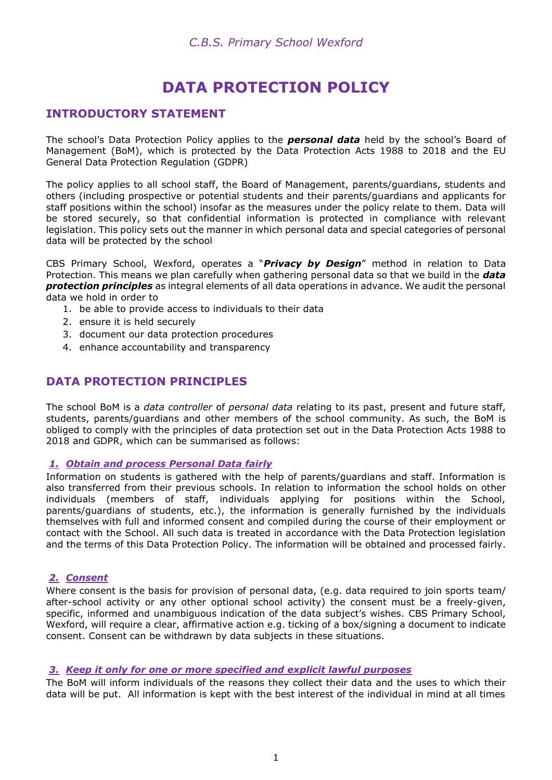# **DATA PROTECTION POLICY**

# **INTRODUCTORY STATEMENT**

The school's Data Protection Policy applies to the *personal data* held by the school's Board of Management (BoM), which is protected by the Data Protection Acts 1988 to 2018 and the EU General Data Protection Regulation (GDPR)

The policy applies to all school staff, the Board of Management, parents/guardians, students and others (including prospective or potential students and their parents/guardians and applicants for staff positions within the school) insofar as the measures under the policy relate to them. Data will be stored securely, so that confidential information is protected in compliance with relevant legislation. This policy sets out the manner in which personal data and special categories of personal data will be protected by the school

CBS Primary School, Wexford, operates a "*Privacy by Design*" method in relation to Data Protection. This means we plan carefully when gathering personal data so that we build in the *data protection principles* as integral elements of all data operations in advance. We audit the personal data we hold in order to

- 1. be able to provide access to individuals to their data
- 2. ensure it is held securely
- 3. document our data protection procedures
- 4. enhance accountability and transparency

# **DATA PROTECTION PRINCIPLES**

The school BoM is a *data controller* of *personal data* relating to its past, present and future staff, students, parents/guardians and other members of the school community. As such, the BoM is obliged to comply with the principles of data protection set out in the Data Protection Acts 1988 to 2018 and GDPR, which can be summarised as follows:

#### *1. Obtain and process Personal Data fairly*

Information on students is gathered with the help of parents/guardians and staff. Information is also transferred from their previous schools. In relation to information the school holds on other individuals (members of staff, individuals applying for positions within the School, parents/guardians of students, etc.), the information is generally furnished by the individuals themselves with full and informed consent and compiled during the course of their employment or contact with the School. All such data is treated in accordance with the Data Protection legislation and the terms of this Data Protection Policy. The information will be obtained and processed fairly.

### *2. Consent*

Where consent is the basis for provision of personal data, (e.g. data required to join sports team/ after-school activity or any other optional school activity) the consent must be a freely-given, specific, informed and unambiguous indication of the data subject's wishes. CBS Primary School, Wexford, will require a clear, affirmative action e.g. ticking of a box/signing a document to indicate consent. Consent can be withdrawn by data subjects in these situations.

#### *3. Keep it only for one or more specified and explicit lawful purposes*

The BoM will inform individuals of the reasons they collect their data and the uses to which their data will be put. All information is kept with the best interest of the individual in mind at all times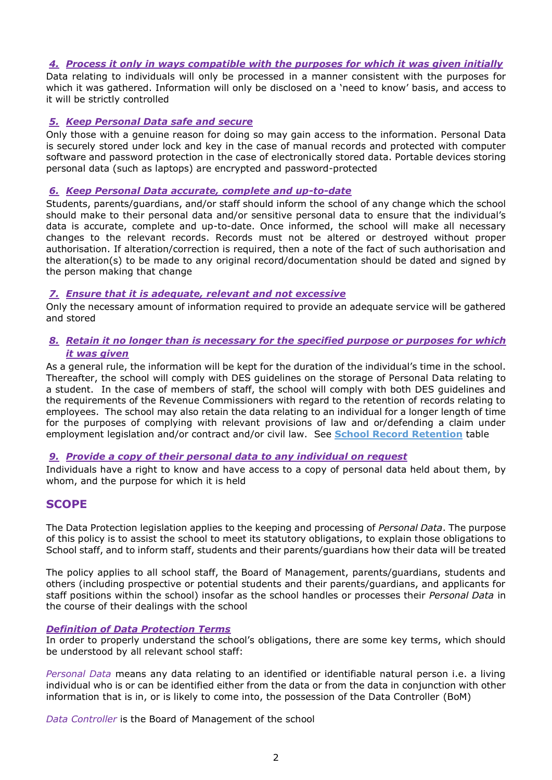#### *4. Process it only in ways compatible with the purposes for which it was given initially*

Data relating to individuals will only be processed in a manner consistent with the purposes for which it was gathered. Information will only be disclosed on a 'need to know' basis, and access to it will be strictly controlled

### *5. Keep Personal Data safe and secure*

Only those with a genuine reason for doing so may gain access to the information. Personal Data is securely stored under lock and key in the case of manual records and protected with computer software and password protection in the case of electronically stored data. Portable devices storing personal data (such as laptops) are encrypted and password-protected

#### *6. Keep Personal Data accurate, complete and up-to-date*

Students, parents/guardians, and/or staff should inform the school of any change which the school should make to their personal data and/or sensitive personal data to ensure that the individual's data is accurate, complete and up-to-date. Once informed, the school will make all necessary changes to the relevant records. Records must not be altered or destroyed without proper authorisation. If alteration/correction is required, then a note of the fact of such authorisation and the alteration(s) to be made to any original record/documentation should be dated and signed by the person making that change

#### *7. Ensure that it is adequate, relevant and not excessive*

Only the necessary amount of information required to provide an adequate service will be gathered and stored

#### *8. Retain it no longer than is necessary for the specified purpose or purposes for which it was given*

As a general rule, the information will be kept for the duration of the individual's time in the school. Thereafter, the school will comply with DES guidelines on the storage of Personal Data relating to a student. In the case of members of staff, the school will comply with both DES guidelines and the requirements of the Revenue Commissioners with regard to the retention of records relating to employees. The school may also retain the data relating to an individual for a longer length of time for the purposes of complying with relevant provisions of law and or/defending a claim under employment legislation and/or contract and/or civil law. See **School Record Retention** table

# *9. Provide a copy of their personal data to any individual on request*

Individuals have a right to know and have access to a copy of personal data held about them, by whom, and the purpose for which it is held

# **SCOPE**

The Data Protection legislation applies to the keeping and processing of *Personal Data*. The purpose of this policy is to assist the school to meet its statutory obligations, to explain those obligations to School staff, and to inform staff, students and their parents/guardians how their data will be treated

The policy applies to all school staff, the Board of Management, parents/guardians, students and others (including prospective or potential students and their parents/guardians, and applicants for staff positions within the school) insofar as the school handles or processes their *Personal Data* in the course of their dealings with the school

#### *Definition of Data Protection Terms*

In order to properly understand the school's obligations, there are some key terms, which should be understood by all relevant school staff:

*Personal Data* means any data relating to an identified or identifiable natural person i.e. a living individual who is or can be identified either from the data or from the data in conjunction with other information that is in, or is likely to come into, the possession of the Data Controller (BoM)

*Data Controller* is the Board of Management of the school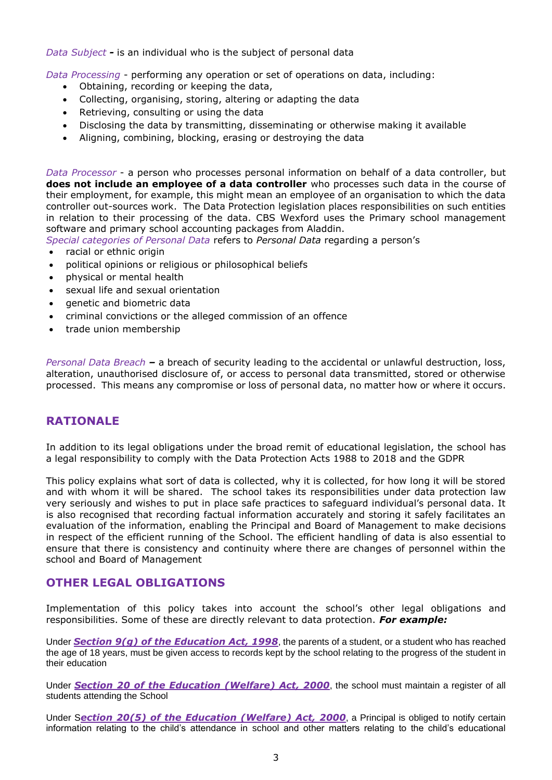*Data Subject -* is an individual who is the subject of personal data

*Data Processing* - performing any operation or set of operations on data, including:

- Obtaining, recording or keeping the data,
- Collecting, organising, storing, altering or adapting the data
- Retrieving, consulting or using the data
- Disclosing the data by transmitting, disseminating or otherwise making it available
- Aligning, combining, blocking, erasing or destroying the data

*Data Processor* - a person who processes personal information on behalf of a data controller, but **does not include an employee of a data controller** who processes such data in the course of their employment, for example, this might mean an employee of an organisation to which the data controller out-sources work. The Data Protection legislation places responsibilities on such entities in relation to their processing of the data. CBS Wexford uses the Primary school management software and primary school accounting packages from Aladdin.

*Special categories of Personal Data* refers to *Personal Data* regarding a person's

- racial or ethnic origin
- political opinions or religious or philosophical beliefs
- physical or mental health
- sexual life and sexual orientation
- genetic and biometric data
- criminal convictions or the alleged commission of an offence
- trade union membership

*Personal Data Breach –* a breach of security leading to the accidental or unlawful destruction, loss, alteration, unauthorised disclosure of, or access to personal data transmitted, stored or otherwise processed. This means any compromise or loss of personal data, no matter how or where it occurs.

# **RATIONALE**

In addition to its legal obligations under the broad remit of educational legislation, the school has a legal responsibility to comply with the Data Protection Acts 1988 to 2018 and the GDPR

This policy explains what sort of data is collected, why it is collected, for how long it will be stored and with whom it will be shared. The school takes its responsibilities under data protection law very seriously and wishes to put in place safe practices to safeguard individual's personal data. It is also recognised that recording factual information accurately and storing it safely facilitates an evaluation of the information, enabling the Principal and Board of Management to make decisions in respect of the efficient running of the School. The efficient handling of data is also essential to ensure that there is consistency and continuity where there are changes of personnel within the school and Board of Management

# **OTHER LEGAL OBLIGATIONS**

Implementation of this policy takes into account the school's other legal obligations and responsibilities. Some of these are directly relevant to data protection. *For example:*

Under *Section 9(g) of the [Education Act, 1998](http://acts2.oireachtas.ie/zza51y1998.1.html)*, the parents of a student, or a student who has reached the age of 18 years, must be given access to records kept by the school relating to the progress of the student in their education

Under *Section 20 of the [Education \(Welfare\) Act, 2000](http://www.oireachtas.ie/documents/bills28/acts/2000/a2200.pdf)*, the school must maintain a register of all students attending the School

Under S*ection 20(5) of the Education (Welfare) Act, 2000*, a Principal is obliged to notify certain information relating to the child's attendance in school and other matters relating to the child's educational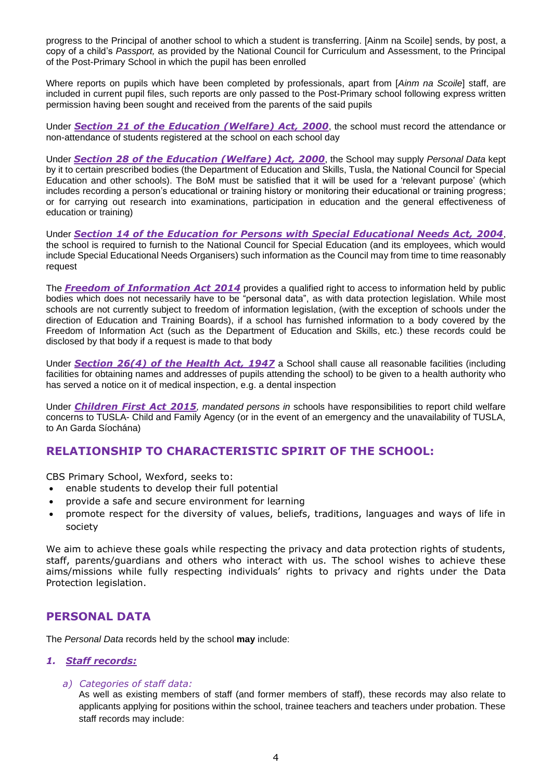progress to the Principal of another school to which a student is transferring. [Ainm na Scoile] sends, by post, a copy of a child's *Passport,* as provided by the National Council for Curriculum and Assessment, to the Principal of the Post-Primary School in which the pupil has been enrolled

Where reports on pupils which have been completed by professionals, apart from [*Ainm na Scoile*] staff, are included in current pupil files, such reports are only passed to the Post-Primary school following express written permission having been sought and received from the parents of the said pupils

Under *Section 21 of the [Education \(Welfare\) Act, 2000](http://www.oireachtas.ie/documents/bills28/acts/2000/a2200.pdf)*, the school must record the attendance or non-attendance of students registered at the school on each school day

Under *Section 28 of the [Education \(Welfare\) Act, 2000](http://www.oireachtas.ie/documents/bills28/acts/2000/a2200.pdf)*, the School may supply *Personal Data* kept by it to certain prescribed bodies (the Department of Education and Skills, Tusla, the National Council for Special Education and other schools). The BoM must be satisfied that it will be used for a 'relevant purpose' (which includes recording a person's educational or training history or monitoring their educational or training progress; or for carrying out research into examinations, participation in education and the general effectiveness of education or training)

Under *Section 14 of the Education for Persons with Special Educational Needs Act, 2004*, the school is required to furnish to the National Council for Special Education (and its employees, which would include Special Educational Needs Organisers) such information as the Council may from time to time reasonably request

The *Freedom of Information Act 2014* provides a qualified right to access to information held by public bodies which does not necessarily have to be "personal data", as with data protection legislation. While most schools are not currently subject to freedom of information legislation, (with the exception of schools under the direction of Education and Training Boards), if a school has furnished information to a body covered by the Freedom of Information Act (such as the Department of Education and Skills, etc.) these records could be disclosed by that body if a request is made to that body

Under *Section 26(4) of the Health Act, 1947* a School shall cause all reasonable facilities (including facilities for obtaining names and addresses of pupils attending the school) to be given to a health authority who has served a notice on it of medical inspection, e.g. a dental inspection

Under *Children First Act 2015, mandated persons in* schools have responsibilities to report child welfare concerns to TUSLA- Child and Family Agency (or in the event of an emergency and the unavailability of TUSLA, to An Garda Síochána)

# **RELATIONSHIP TO CHARACTERISTIC SPIRIT OF THE SCHOOL:**

CBS Primary School, Wexford, seeks to:

- enable students to develop their full potential
- provide a safe and secure environment for learning
- promote respect for the diversity of values, beliefs, traditions, languages and ways of life in society

We aim to achieve these goals while respecting the privacy and data protection rights of students, staff, parents/guardians and others who interact with us. The school wishes to achieve these aims/missions while fully respecting individuals' rights to privacy and rights under the Data Protection legislation.

# **PERSONAL DATA**

The *Personal Data* records held by the school **may** include:

#### *1. Staff records:*

#### *a) Categories of staff data:*

As well as existing members of staff (and former members of staff), these records may also relate to applicants applying for positions within the school, trainee teachers and teachers under probation. These staff records may include: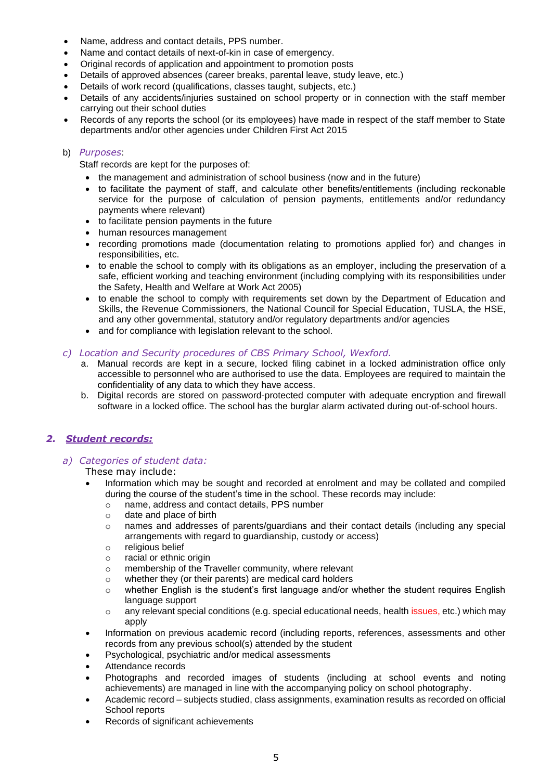- Name, address and contact details, PPS number.
- Name and contact details of next-of-kin in case of emergency.
- Original records of application and appointment to promotion posts
- Details of approved absences (career breaks, parental leave, study leave, etc.)
- Details of work record (qualifications, classes taught, subjects, etc.)
- Details of any accidents/injuries sustained on school property or in connection with the staff member carrying out their school duties
- Records of any reports the school (or its employees) have made in respect of the staff member to State departments and/or other agencies under Children First Act 2015

#### b) *Purposes*:

Staff records are kept for the purposes of:

- the management and administration of school business (now and in the future)
- to facilitate the payment of staff, and calculate other benefits/entitlements (including reckonable service for the purpose of calculation of pension payments, entitlements and/or redundancy payments where relevant)
- to facilitate pension payments in the future
- human resources management
- recording promotions made (documentation relating to promotions applied for) and changes in responsibilities, etc.
- to enable the school to comply with its obligations as an employer, including the preservation of a safe, efficient working and teaching environment (including complying with its responsibilities under the Safety, Health and Welfare at Work Act 2005)
- to enable the school to comply with requirements set down by the Department of Education and Skills, the Revenue Commissioners, the National Council for Special Education, TUSLA, the HSE, and any other governmental, statutory and/or regulatory departments and/or agencies
- and for compliance with legislation relevant to the school.

#### *c) Location and Security procedures of CBS Primary School, Wexford.*

- a. Manual records are kept in a secure, locked filing cabinet in a locked administration office only accessible to personnel who are authorised to use the data. Employees are required to maintain the confidentiality of any data to which they have access.
- b. Digital records are stored on password-protected computer with adequate encryption and firewall software in a locked office. The school has the burglar alarm activated during out-of-school hours.

### *2. Student records:*

#### *a) Categories of student data:*

These may include:

- Information which may be sought and recorded at enrolment and may be collated and compiled during the course of the student's time in the school. These records may include:
	- o name, address and contact details, PPS number
	- o date and place of birth
	- o names and addresses of parents/guardians and their contact details (including any special arrangements with regard to guardianship, custody or access)
	- o religious belief
	- o racial or ethnic origin
	- o membership of the Traveller community, where relevant
	- o whether they (or their parents) are medical card holders
	- $\circ$  whether English is the student's first language and/or whether the student requires English language support
	- $\circ$  any relevant special conditions (e.g. special educational needs, health issues, etc.) which may apply
- Information on previous academic record (including reports, references, assessments and other records from any previous school(s) attended by the student
- Psychological, psychiatric and/or medical assessments
- Attendance records
- Photographs and recorded images of students (including at school events and noting achievements) are managed in line with the accompanying policy on school photography.
- Academic record subjects studied, class assignments, examination results as recorded on official School reports
- Records of significant achievements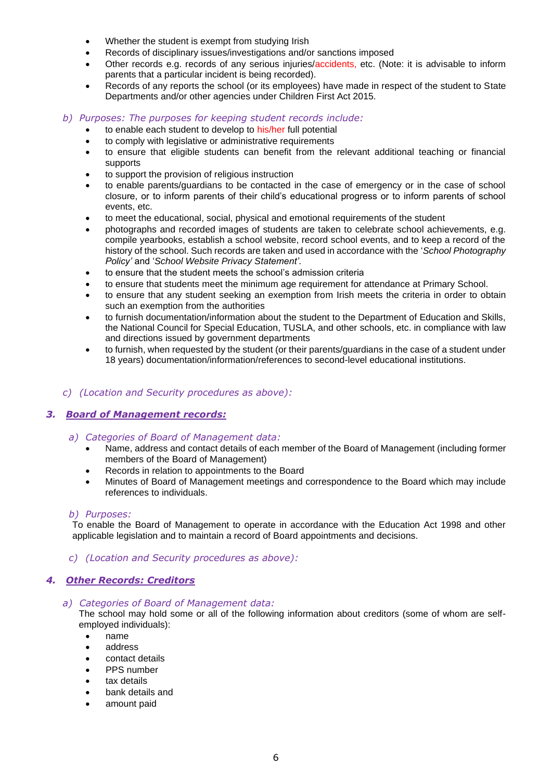- Whether the student is exempt from studying Irish
- Records of disciplinary issues/investigations and/or sanctions imposed
- Other records e.g. records of any serious injuries/accidents, etc. (Note: it is advisable to inform parents that a particular incident is being recorded).
- Records of any reports the school (or its employees) have made in respect of the student to State Departments and/or other agencies under Children First Act 2015.
- *b) Purposes: The purposes for keeping student records include:* 
	- to enable each student to develop to his/her full potential
	- to comply with legislative or administrative requirements
	- to ensure that eligible students can benefit from the relevant additional teaching or financial supports
	- to support the provision of religious instruction
	- to enable parents/guardians to be contacted in the case of emergency or in the case of school closure, or to inform parents of their child's educational progress or to inform parents of school events, etc.
	- to meet the educational, social, physical and emotional requirements of the student
	- photographs and recorded images of students are taken to celebrate school achievements, e.g. compile yearbooks, establish a school website, record school events, and to keep a record of the history of the school. Such records are taken and used in accordance with the '*School Photography Policy'* and '*School Website Privacy Statement'*.
	- to ensure that the student meets the school's admission criteria
	- to ensure that students meet the minimum age requirement for attendance at Primary School.
	- to ensure that any student seeking an exemption from Irish meets the criteria in order to obtain such an exemption from the authorities
	- to furnish documentation/information about the student to the Department of Education and Skills, the National Council for Special Education, TUSLA, and other schools, etc. in compliance with law and directions issued by government departments
	- to furnish, when requested by the student (or their parents/guardians in the case of a student under 18 years) documentation/information/references to second-level educational institutions.

### *c) (Location and Security procedures as above):*

### *3. Board of Management records:*

- *a) Categories of Board of Management data:*
	- Name, address and contact details of each member of the Board of Management (including former members of the Board of Management)
	- Records in relation to appointments to the Board
	- Minutes of Board of Management meetings and correspondence to the Board which may include references to individuals.

#### *b) Purposes:*

To enable the Board of Management to operate in accordance with the Education Act 1998 and other applicable legislation and to maintain a record of Board appointments and decisions.

#### *c) (Location and Security procedures as above):*

#### *4. Other Records: Creditors*

*a) Categories of Board of Management data:*

The school may hold some or all of the following information about creditors (some of whom are selfemployed individuals):

- name
- address
- contact details
- PPS number
- tax details
- bank details and
- amount paid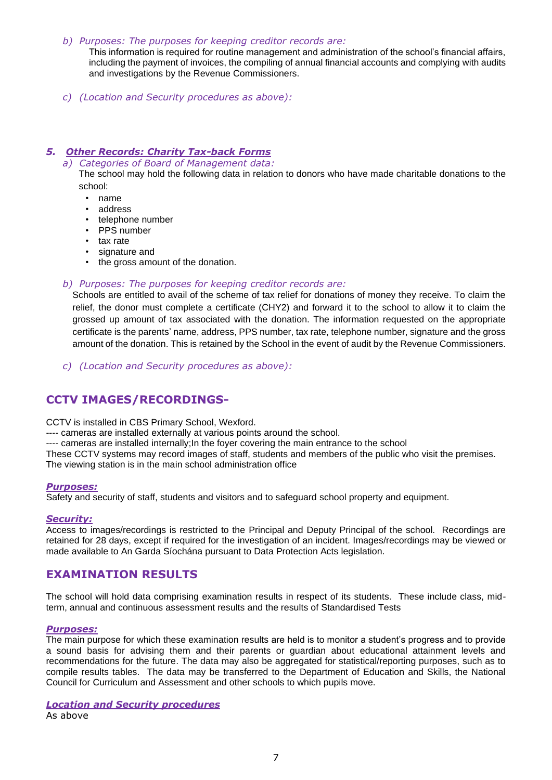#### *b) Purposes: The purposes for keeping creditor records are:*

This information is required for routine management and administration of the school's financial affairs, including the payment of invoices, the compiling of annual financial accounts and complying with audits and investigations by the Revenue Commissioners.

*c) (Location and Security procedures as above):* 

### *5. Other Records: Charity Tax-back Forms*

*a) Categories of Board of Management data:*

The school may hold the following data in relation to donors who have made charitable donations to the school:

- name
- address
- telephone number
- PPS number
- tax rate
- signature and
- the gross amount of the donation.

#### *b) Purposes: The purposes for keeping creditor records are:*

Schools are entitled to avail of the scheme of tax relief for donations of money they receive. To claim the relief, the donor must complete a certificate (CHY2) and forward it to the school to allow it to claim the grossed up amount of tax associated with the donation. The information requested on the appropriate certificate is the parents' name, address, PPS number, tax rate, telephone number, signature and the gross amount of the donation. This is retained by the School in the event of audit by the Revenue Commissioners.

*c) (Location and Security procedures as above):* 

# **CCTV IMAGES/RECORDINGS-**

CCTV is installed in CBS Primary School, Wexford.

---- cameras are installed externally at various points around the school.

---- cameras are installed internally;In the foyer covering the main entrance to the school

These CCTV systems may record images of staff, students and members of the public who visit the premises. The viewing station is in the main school administration office

#### *Purposes:*

Safety and security of staff, students and visitors and to safeguard school property and equipment.

#### *Security:*

Access to images/recordings is restricted to the Principal and Deputy Principal of the school. Recordings are retained for 28 days, except if required for the investigation of an incident. Images/recordings may be viewed or made available to An Garda Síochána pursuant to Data Protection Acts legislation.

# **EXAMINATION RESULTS**

The school will hold data comprising examination results in respect of its students. These include class, midterm, annual and continuous assessment results and the results of Standardised Tests

#### *Purposes:*

The main purpose for which these examination results are held is to monitor a student's progress and to provide a sound basis for advising them and their parents or guardian about educational attainment levels and recommendations for the future. The data may also be aggregated for statistical/reporting purposes, such as to compile results tables. The data may be transferred to the Department of Education and Skills, the National Council for Curriculum and Assessment and other schools to which pupils move.

#### *Location and Security procedures*

As above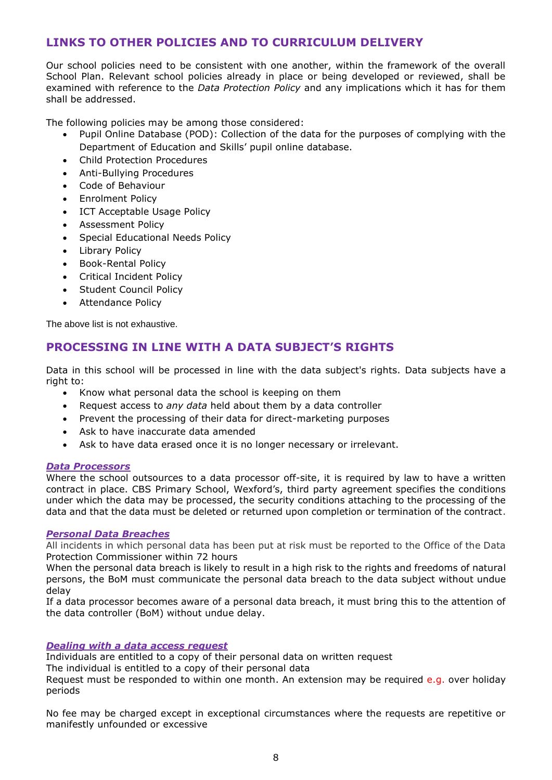# **LINKS TO OTHER POLICIES AND TO CURRICULUM DELIVERY**

Our school policies need to be consistent with one another, within the framework of the overall School Plan. Relevant school policies already in place or being developed or reviewed, shall be examined with reference to the *Data Protection Policy* and any implications which it has for them shall be addressed.

The following policies may be among those considered:

- Pupil Online Database (POD): Collection of the data for the purposes of complying with the Department of Education and Skills' pupil online database.
- Child Protection Procedures
- Anti-Bullying Procedures
- Code of Behaviour
- Enrolment Policy
- ICT Acceptable Usage Policy
- Assessment Policy
- Special Educational Needs Policy
- **Library Policy**
- Book-Rental Policy
- Critical Incident Policy
- Student Council Policy
- Attendance Policy

The above list is not exhaustive.

# **PROCESSING IN LINE WITH A DATA SUBJECT'S RIGHTS**

Data in this school will be processed in line with the data subject's rights. Data subjects have a right to:

- Know what personal data the school is keeping on them
- Request access to *any data* held about them by a data controller
- Prevent the processing of their data for direct-marketing purposes
- Ask to have inaccurate data amended
- Ask to have data erased once it is no longer necessary or irrelevant.

#### *Data Processors*

Where the school outsources to a data processor off-site, it is required by law to have a written contract in place. CBS Primary School, Wexford's, third party agreement specifies the conditions under which the data may be processed, the security conditions attaching to the processing of the data and that the data must be deleted or returned upon completion or termination of the contract.

#### *Personal Data Breaches*

All incidents in which personal data has been put at risk must be reported to the Office of the Data Protection Commissioner within 72 hours

When the personal data breach is likely to result in a high risk to the rights and freedoms of natural persons, the BoM must communicate the personal data breach to the data subject without undue delay

If a data processor becomes aware of a personal data breach, it must bring this to the attention of the data controller (BoM) without undue delay.

### *Dealing with a data access request*

Individuals are entitled to a copy of their personal data on written request

The individual is entitled to a copy of their personal data

Request must be responded to within one month. An extension may be required e.g. over holiday periods

No fee may be charged except in exceptional circumstances where the requests are repetitive or manifestly unfounded or excessive